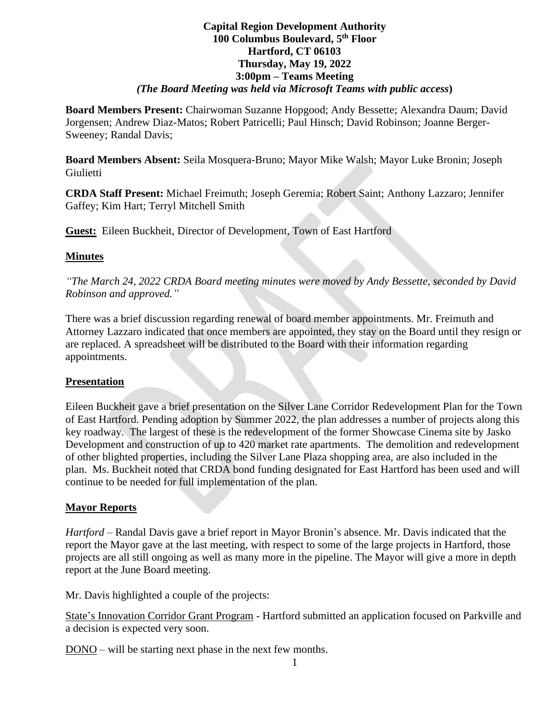# **Capital Region Development Authority 100 Columbus Boulevard, 5 th Floor Hartford, CT 06103 Thursday, May 19, 2022 3:00pm – Teams Meeting** *(The Board Meeting was held via Microsoft Teams with public access***)**

**Board Members Present:** Chairwoman Suzanne Hopgood; Andy Bessette; Alexandra Daum; David Jorgensen; Andrew Diaz-Matos; Robert Patricelli; Paul Hinsch; David Robinson; Joanne Berger-Sweeney; Randal Davis;

**Board Members Absent:** Seila Mosquera-Bruno; Mayor Mike Walsh; Mayor Luke Bronin; Joseph Giulietti

**CRDA Staff Present:** Michael Freimuth; Joseph Geremia; Robert Saint; Anthony Lazzaro; Jennifer Gaffey; Kim Hart; Terryl Mitchell Smith

**Guest:** Eileen Buckheit, Director of Development, Town of East Hartford

### **Minutes**

*"The March 24, 2022 CRDA Board meeting minutes were moved by Andy Bessette, seconded by David Robinson and approved."*

There was a brief discussion regarding renewal of board member appointments. Mr. Freimuth and Attorney Lazzaro indicated that once members are appointed, they stay on the Board until they resign or are replaced. A spreadsheet will be distributed to the Board with their information regarding appointments.

#### **Presentation**

Eileen Buckheit gave a brief presentation on the Silver Lane Corridor Redevelopment Plan for the Town of East Hartford. Pending adoption by Summer 2022, the plan addresses a number of projects along this key roadway. The largest of these is the redevelopment of the former Showcase Cinema site by Jasko Development and construction of up to 420 market rate apartments. The demolition and redevelopment of other blighted properties, including the Silver Lane Plaza shopping area, are also included in the plan. Ms. Buckheit noted that CRDA bond funding designated for East Hartford has been used and will continue to be needed for full implementation of the plan.

# **Mayor Reports**

*Hartford* – Randal Davis gave a brief report in Mayor Bronin's absence. Mr. Davis indicated that the report the Mayor gave at the last meeting, with respect to some of the large projects in Hartford, those projects are all still ongoing as well as many more in the pipeline. The Mayor will give a more in depth report at the June Board meeting.

Mr. Davis highlighted a couple of the projects:

State's Innovation Corridor Grant Program - Hartford submitted an application focused on Parkville and a decision is expected very soon.

DONO – will be starting next phase in the next few months.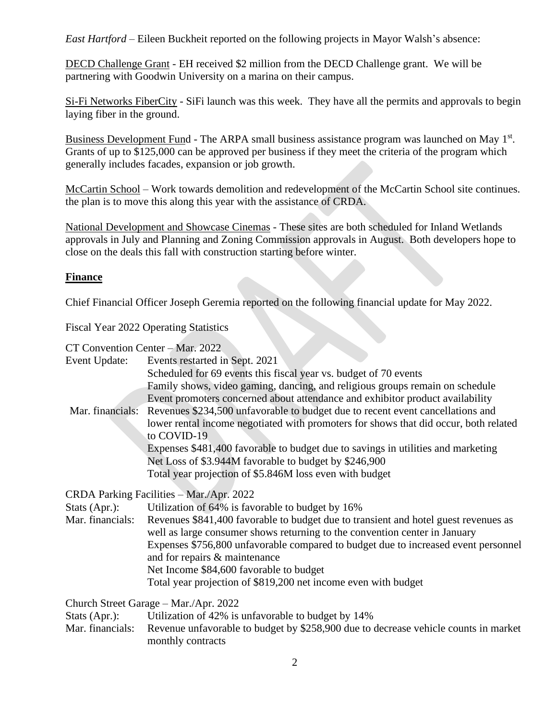*East Hartford* – Eileen Buckheit reported on the following projects in Mayor Walsh's absence:

DECD Challenge Grant - EH received \$2 million from the DECD Challenge grant. We will be partnering with Goodwin University on a marina on their campus.

Si-Fi Networks FiberCity - SiFi launch was this week. They have all the permits and approvals to begin laying fiber in the ground.

Business Development Fund - The ARPA small business assistance program was launched on May 1<sup>st</sup>. Grants of up to \$125,000 can be approved per business if they meet the criteria of the program which generally includes facades, expansion or job growth.

McCartin School – Work towards demolition and redevelopment of the McCartin School site continues. the plan is to move this along this year with the assistance of CRDA.

National Development and Showcase Cinemas - These sites are both scheduled for Inland Wetlands approvals in July and Planning and Zoning Commission approvals in August. Both developers hope to close on the deals this fall with construction starting before winter.

# **Finance**

Chief Financial Officer Joseph Geremia reported on the following financial update for May 2022.

Fiscal Year 2022 Operating Statistics

CT Convention Center – Mar. 2022

|                  | $C_1$ Convention Center – Mar. 2022                                                                                                                               |  |  |
|------------------|-------------------------------------------------------------------------------------------------------------------------------------------------------------------|--|--|
| Event Update:    | Events restarted in Sept. 2021                                                                                                                                    |  |  |
|                  | Scheduled for 69 events this fiscal year vs. budget of 70 events                                                                                                  |  |  |
|                  | Family shows, video gaming, dancing, and religious groups remain on schedule                                                                                      |  |  |
|                  | Event promoters concerned about attendance and exhibitor product availability                                                                                     |  |  |
|                  | Mar. financials: Revenues \$234,500 unfavorable to budget due to recent event cancellations and                                                                   |  |  |
|                  | lower rental income negotiated with promoters for shows that did occur, both related<br>to COVID-19                                                               |  |  |
|                  | Expenses \$481,400 favorable to budget due to savings in utilities and marketing                                                                                  |  |  |
|                  | Net Loss of \$3.944M favorable to budget by \$246,900                                                                                                             |  |  |
|                  | Total year projection of \$5.846M loss even with budget                                                                                                           |  |  |
|                  | CRDA Parking Facilities - Mar./Apr. 2022                                                                                                                          |  |  |
| Stats (Apr.):    | Utilization of 64% is favorable to budget by 16%                                                                                                                  |  |  |
| Mar. financials: | Revenues \$841,400 favorable to budget due to transient and hotel guest revenues as<br>well as large consumer shows returning to the convention center in January |  |  |
|                  | Expenses \$756,800 unfavorable compared to budget due to increased event personnel<br>and for repairs & maintenance                                               |  |  |
|                  | Net Income \$84,600 favorable to budget                                                                                                                           |  |  |
|                  | Total year projection of \$819,200 net income even with budget                                                                                                    |  |  |
|                  | Church Street Garage - Mar./Apr. 2022                                                                                                                             |  |  |
| Stats (Apr.):    | Utilization of 42% is unfavorable to budget by 14%                                                                                                                |  |  |
| Mar. financials: | Revenue unfavorable to budget by \$258,900 due to decrease vehicle counts in market<br>monthly contracts                                                          |  |  |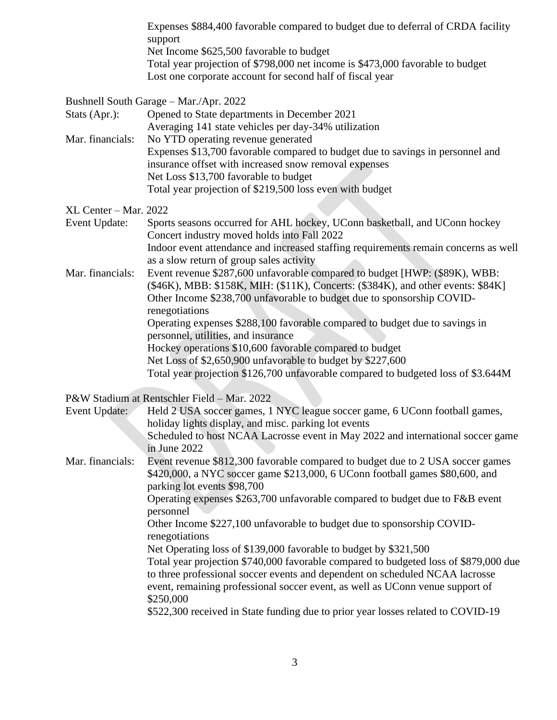|                                        | Expenses \$884,400 favorable compared to budget due to deferral of CRDA facility<br>support<br>Net Income \$625,500 favorable to budget<br>Total year projection of \$798,000 net income is \$473,000 favorable to budget<br>Lost one corporate account for second half of fiscal year                                                                                                                                               |
|----------------------------------------|--------------------------------------------------------------------------------------------------------------------------------------------------------------------------------------------------------------------------------------------------------------------------------------------------------------------------------------------------------------------------------------------------------------------------------------|
| Stats (Apr.):<br>Mar. financials:      | Bushnell South Garage - Mar./Apr. 2022<br>Opened to State departments in December 2021<br>Averaging 141 state vehicles per day-34% utilization<br>No YTD operating revenue generated<br>Expenses \$13,700 favorable compared to budget due to savings in personnel and<br>insurance offset with increased snow removal expenses<br>Net Loss \$13,700 favorable to budget<br>Total year projection of \$219,500 loss even with budget |
| XL Center – Mar. 2022<br>Event Update: | Sports seasons occurred for AHL hockey, UConn basketball, and UConn hockey<br>Concert industry moved holds into Fall 2022                                                                                                                                                                                                                                                                                                            |
| Mar. financials:                       | Indoor event attendance and increased staffing requirements remain concerns as well<br>as a slow return of group sales activity<br>Event revenue \$287,600 unfavorable compared to budget [HWP: (\$89K), WBB:<br>(\$46K), MBB: \$158K, MIH: (\$11K), Concerts: (\$384K), and other events: \$84K]<br>Other Income \$238,700 unfavorable to budget due to sponsorship COVID-<br>renegotiations                                        |
|                                        | Operating expenses \$288,100 favorable compared to budget due to savings in<br>personnel, utilities, and insurance<br>Hockey operations \$10,600 favorable compared to budget<br>Net Loss of \$2,650,900 unfavorable to budget by \$227,600<br>Total year projection \$126,700 unfavorable compared to budgeted loss of \$3.644M                                                                                                     |
|                                        | P&W Stadium at Rentschler Field - Mar. 2022                                                                                                                                                                                                                                                                                                                                                                                          |
| Event Update:                          | Held 2 USA soccer games, 1 NYC league soccer game, 6 UConn football games,<br>holiday lights display, and misc. parking lot events<br>Scheduled to host NCAA Lacrosse event in May 2022 and international soccer game                                                                                                                                                                                                                |
| Mar. financials:                       | in June 2022<br>Event revenue \$812,300 favorable compared to budget due to 2 USA soccer games<br>\$420,000, a NYC soccer game \$213,000, 6 UConn football games \$80,600, and<br>parking lot events \$98,700<br>Operating expenses \$263,700 unfavorable compared to budget due to F&B event                                                                                                                                        |
|                                        | personnel<br>Other Income \$227,100 unfavorable to budget due to sponsorship COVID-                                                                                                                                                                                                                                                                                                                                                  |
|                                        | renegotiations<br>Net Operating loss of \$139,000 favorable to budget by \$321,500<br>Total year projection \$740,000 favorable compared to budgeted loss of \$879,000 due<br>to three professional soccer events and dependent on scheduled NCAA lacrosse<br>event, remaining professional soccer event, as well as UConn venue support of<br>\$250,000                                                                             |
|                                        | \$522,300 received in State funding due to prior year losses related to COVID-19                                                                                                                                                                                                                                                                                                                                                     |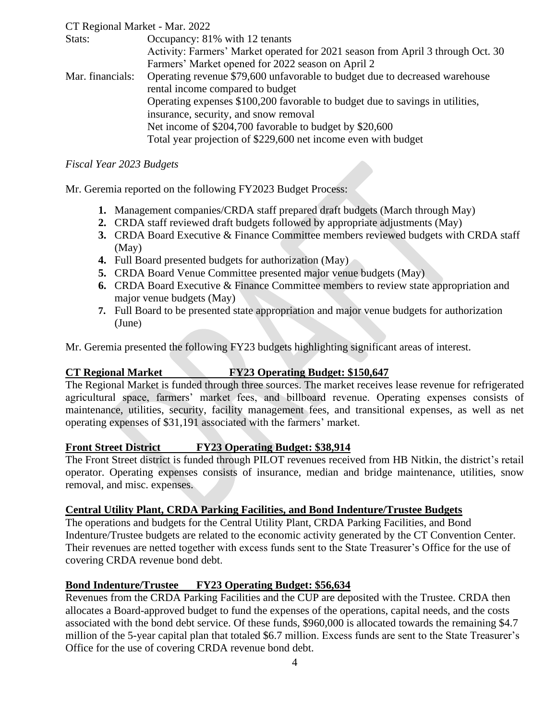### CT Regional Market - Mar. 2022

| Stats:           | Occupancy: 81% with 12 tenants                                                  |  |
|------------------|---------------------------------------------------------------------------------|--|
|                  | Activity: Farmers' Market operated for 2021 season from April 3 through Oct. 30 |  |
|                  | Farmers' Market opened for 2022 season on April 2                               |  |
| Mar. financials: | Operating revenue \$79,600 unfavorable to budget due to decreased warehouse     |  |
|                  | rental income compared to budget                                                |  |
|                  | Operating expenses \$100,200 favorable to budget due to savings in utilities,   |  |
|                  | insurance, security, and snow removal                                           |  |
|                  | Net income of \$204,700 favorable to budget by \$20,600                         |  |
|                  | Total year projection of \$229,600 net income even with budget                  |  |

### *Fiscal Year 2023 Budgets*

Mr. Geremia reported on the following FY2023 Budget Process:

- **1.** Management companies/CRDA staff prepared draft budgets (March through May)
- **2.** CRDA staff reviewed draft budgets followed by appropriate adjustments (May)
- **3.** CRDA Board Executive & Finance Committee members reviewed budgets with CRDA staff (May)
- **4.** Full Board presented budgets for authorization (May)
- **5.** CRDA Board Venue Committee presented major venue budgets (May)
- **6.** CRDA Board Executive & Finance Committee members to review state appropriation and major venue budgets (May)
- **7.** Full Board to be presented state appropriation and major venue budgets for authorization (June)

Mr. Geremia presented the following FY23 budgets highlighting significant areas of interest.

# **CT Regional Market FY23 Operating Budget: \$150,647**

The Regional Market is funded through three sources. The market receives lease revenue for refrigerated agricultural space, farmers' market fees, and billboard revenue. Operating expenses consists of maintenance, utilities, security, facility management fees, and transitional expenses, as well as net operating expenses of \$31,191 associated with the farmers' market.

# **Front Street District FY23 Operating Budget: \$38,914**

The Front Street district is funded through PILOT revenues received from HB Nitkin, the district's retail operator. Operating expenses consists of insurance, median and bridge maintenance, utilities, snow removal, and misc. expenses.

# **Central Utility Plant, CRDA Parking Facilities, and Bond Indenture/Trustee Budgets**

The operations and budgets for the Central Utility Plant, CRDA Parking Facilities, and Bond Indenture/Trustee budgets are related to the economic activity generated by the CT Convention Center. Their revenues are netted together with excess funds sent to the State Treasurer's Office for the use of covering CRDA revenue bond debt.

# **Bond Indenture/Trustee FY23 Operating Budget: \$56,634**

Revenues from the CRDA Parking Facilities and the CUP are deposited with the Trustee. CRDA then allocates a Board-approved budget to fund the expenses of the operations, capital needs, and the costs associated with the bond debt service. Of these funds, \$960,000 is allocated towards the remaining \$4.7 million of the 5-year capital plan that totaled \$6.7 million. Excess funds are sent to the State Treasurer's Office for the use of covering CRDA revenue bond debt.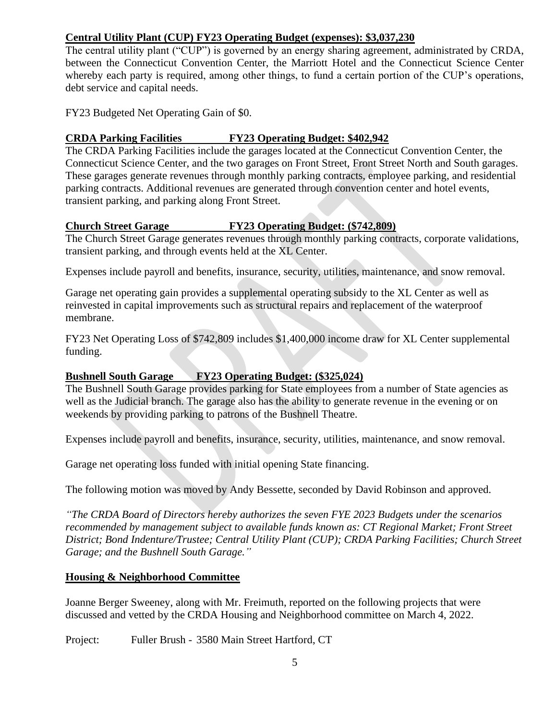# **Central Utility Plant (CUP) FY23 Operating Budget (expenses): \$3,037,230**

The central utility plant ("CUP") is governed by an energy sharing agreement, administrated by CRDA, between the Connecticut Convention Center, the Marriott Hotel and the Connecticut Science Center whereby each party is required, among other things, to fund a certain portion of the CUP's operations, debt service and capital needs.

FY23 Budgeted Net Operating Gain of \$0.

### **CRDA Parking Facilities FY23 Operating Budget: \$402,942**

The CRDA Parking Facilities include the garages located at the Connecticut Convention Center, the Connecticut Science Center, and the two garages on Front Street, Front Street North and South garages. These garages generate revenues through monthly parking contracts, employee parking, and residential parking contracts. Additional revenues are generated through convention center and hotel events, transient parking, and parking along Front Street.

### **Church Street Garage FY23 Operating Budget: (\$742,809)**

The Church Street Garage generates revenues through monthly parking contracts, corporate validations, transient parking, and through events held at the XL Center.

Expenses include payroll and benefits, insurance, security, utilities, maintenance, and snow removal.

Garage net operating gain provides a supplemental operating subsidy to the XL Center as well as reinvested in capital improvements such as structural repairs and replacement of the waterproof membrane.

FY23 Net Operating Loss of \$742,809 includes \$1,400,000 income draw for XL Center supplemental funding.

# **Bushnell South Garage FY23 Operating Budget: (\$325,024)**

The Bushnell South Garage provides parking for State employees from a number of State agencies as well as the Judicial branch. The garage also has the ability to generate revenue in the evening or on weekends by providing parking to patrons of the Bushnell Theatre.

Expenses include payroll and benefits, insurance, security, utilities, maintenance, and snow removal.

Garage net operating loss funded with initial opening State financing.

The following motion was moved by Andy Bessette, seconded by David Robinson and approved.

*"The CRDA Board of Directors hereby authorizes the seven FYE 2023 Budgets under the scenarios recommended by management subject to available funds known as: CT Regional Market; Front Street District; Bond Indenture/Trustee; Central Utility Plant (CUP); CRDA Parking Facilities; Church Street Garage; and the Bushnell South Garage."*

# **Housing & Neighborhood Committee**

Joanne Berger Sweeney, along with Mr. Freimuth, reported on the following projects that were discussed and vetted by the CRDA Housing and Neighborhood committee on March 4, 2022.

Project: Fuller Brush - 3580 Main Street Hartford, CT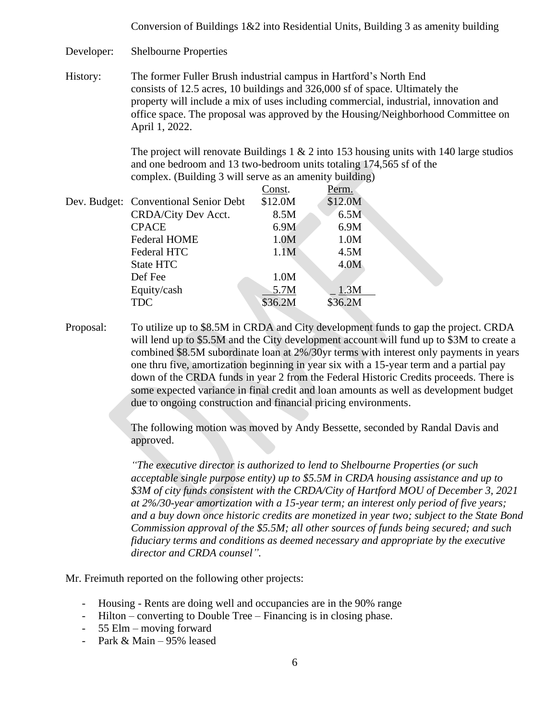Conversion of Buildings  $1&2$  into Residential Units, Building 3 as amenity building

Developer: Shelbourne Properties

History: The former Fuller Brush industrial campus in Hartford's North End consists of 12.5 acres, 10 buildings and 326,000 sf of space. Ultimately the property will include a mix of uses including commercial, industrial, innovation and office space. The proposal was approved by the Housing/Neighborhood Committee on April 1, 2022.

> The project will renovate Buildings 1  $\&$  2 into 153 housing units with 140 large studios and one bedroom and 13 two-bedroom units totaling 174,565 sf of the complex. (Building 3 will serve as an amenity building)

|  |                                       | Const.  | Perm.   |
|--|---------------------------------------|---------|---------|
|  | Dev. Budget: Conventional Senior Debt | \$12.0M | \$12.0M |
|  | CRDA/City Dev Acct.                   | 8.5M    | 6.5M    |
|  | <b>CPACE</b>                          | 6.9M    | 6.9M    |
|  | <b>Federal HOME</b>                   | 1.0M    | 1.0M    |
|  | Federal HTC                           | 1.1M    | 4.5M    |
|  | State HTC                             |         | 4.0M    |
|  | Def Fee                               | 1.0M    |         |
|  | Equity/cash                           | 5.7M    | 1.3M    |
|  | <b>TDC</b>                            | \$36.2M | \$36.2M |
|  |                                       |         |         |

Proposal: To utilize up to \$8.5M in CRDA and City development funds to gap the project. CRDA will lend up to \$5.5M and the City development account will fund up to \$3M to create a combined \$8.5M subordinate loan at 2%/30yr terms with interest only payments in years one thru five, amortization beginning in year six with a 15-year term and a partial pay down of the CRDA funds in year 2 from the Federal Historic Credits proceeds. There is some expected variance in final credit and loan amounts as well as development budget due to ongoing construction and financial pricing environments.

> The following motion was moved by Andy Bessette, seconded by Randal Davis and approved.

*"The executive director is authorized to lend to Shelbourne Properties (or such acceptable single purpose entity) up to \$5.5M in CRDA housing assistance and up to \$3M of city funds consistent with the CRDA/City of Hartford MOU of December 3, 2021 at 2%/30-year amortization with a 15-year term; an interest only period of five years; and a buy down once historic credits are monetized in year two; subject to the State Bond Commission approval of the \$5.5M; all other sources of funds being secured; and such fiduciary terms and conditions as deemed necessary and appropriate by the executive director and CRDA counsel".*

Mr. Freimuth reported on the following other projects:

- Housing Rents are doing well and occupancies are in the 90% range
- Hilton converting to Double Tree Financing is in closing phase.
- 55 Elm moving forward
- Park & Main 95% leased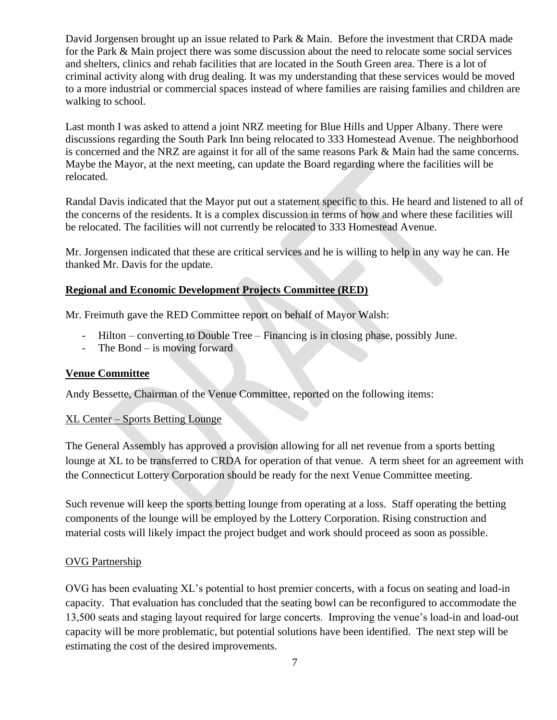David Jorgensen brought up an issue related to Park & Main. Before the investment that CRDA made for the Park & Main project there was some discussion about the need to relocate some social services and shelters, clinics and rehab facilities that are located in the South Green area. There is a lot of criminal activity along with drug dealing. It was my understanding that these services would be moved to a more industrial or commercial spaces instead of where families are raising families and children are walking to school.

Last month I was asked to attend a joint NRZ meeting for Blue Hills and Upper Albany. There were discussions regarding the South Park Inn being relocated to 333 Homestead Avenue. The neighborhood is concerned and the NRZ are against it for all of the same reasons Park & Main had the same concerns. Maybe the Mayor, at the next meeting, can update the Board regarding where the facilities will be relocated.

Randal Davis indicated that the Mayor put out a statement specific to this. He heard and listened to all of the concerns of the residents. It is a complex discussion in terms of how and where these facilities will be relocated. The facilities will not currently be relocated to 333 Homestead Avenue.

Mr. Jorgensen indicated that these are critical services and he is willing to help in any way he can. He thanked Mr. Davis for the update.

# **Regional and Economic Development Projects Committee (RED)**

Mr. Freimuth gave the RED Committee report on behalf of Mayor Walsh:

- Hilton converting to Double Tree Financing is in closing phase, possibly June.
- The Bond is moving forward

# **Venue Committee**

Andy Bessette, Chairman of the Venue Committee, reported on the following items:

# XL Center – Sports Betting Lounge

The General Assembly has approved a provision allowing for all net revenue from a sports betting lounge at XL to be transferred to CRDA for operation of that venue. A term sheet for an agreement with the Connecticut Lottery Corporation should be ready for the next Venue Committee meeting.

Such revenue will keep the sports betting lounge from operating at a loss. Staff operating the betting components of the lounge will be employed by the Lottery Corporation. Rising construction and material costs will likely impact the project budget and work should proceed as soon as possible.

#### OVG Partnership

OVG has been evaluating XL's potential to host premier concerts, with a focus on seating and load-in capacity. That evaluation has concluded that the seating bowl can be reconfigured to accommodate the 13,500 seats and staging layout required for large concerts. Improving the venue's load-in and load-out capacity will be more problematic, but potential solutions have been identified. The next step will be estimating the cost of the desired improvements.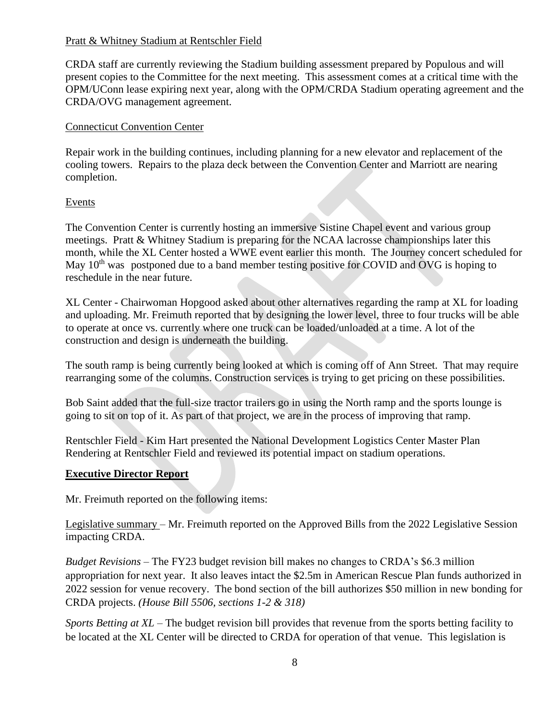#### Pratt & Whitney Stadium at Rentschler Field

CRDA staff are currently reviewing the Stadium building assessment prepared by Populous and will present copies to the Committee for the next meeting. This assessment comes at a critical time with the OPM/UConn lease expiring next year, along with the OPM/CRDA Stadium operating agreement and the CRDA/OVG management agreement.

### Connecticut Convention Center

Repair work in the building continues, including planning for a new elevator and replacement of the cooling towers. Repairs to the plaza deck between the Convention Center and Marriott are nearing completion.

### **Events**

The Convention Center is currently hosting an immersive Sistine Chapel event and various group meetings. Pratt & Whitney Stadium is preparing for the NCAA lacrosse championships later this month, while the XL Center hosted a WWE event earlier this month. The Journey concert scheduled for May  $10<sup>th</sup>$  was postponed due to a band member testing positive for COVID and OVG is hoping to reschedule in the near future.

XL Center - Chairwoman Hopgood asked about other alternatives regarding the ramp at XL for loading and uploading. Mr. Freimuth reported that by designing the lower level, three to four trucks will be able to operate at once vs. currently where one truck can be loaded/unloaded at a time. A lot of the construction and design is underneath the building.

The south ramp is being currently being looked at which is coming off of Ann Street. That may require rearranging some of the columns. Construction services is trying to get pricing on these possibilities.

Bob Saint added that the full-size tractor trailers go in using the North ramp and the sports lounge is going to sit on top of it. As part of that project, we are in the process of improving that ramp.

Rentschler Field - Kim Hart presented the National Development Logistics Center Master Plan Rendering at Rentschler Field and reviewed its potential impact on stadium operations.

#### **Executive Director Report**

Mr. Freimuth reported on the following items:

Legislative summary – Mr. Freimuth reported on the Approved Bills from the 2022 Legislative Session impacting CRDA.

*Budget Revisions* – The FY23 budget revision bill makes no changes to CRDA's \$6.3 million appropriation for next year. It also leaves intact the \$2.5m in American Rescue Plan funds authorized in 2022 session for venue recovery. The bond section of the bill authorizes \$50 million in new bonding for CRDA projects. *(House Bill 5506, sections 1-2 & 318)*

*Sports Betting at XL* – The budget revision bill provides that revenue from the sports betting facility to be located at the XL Center will be directed to CRDA for operation of that venue. This legislation is